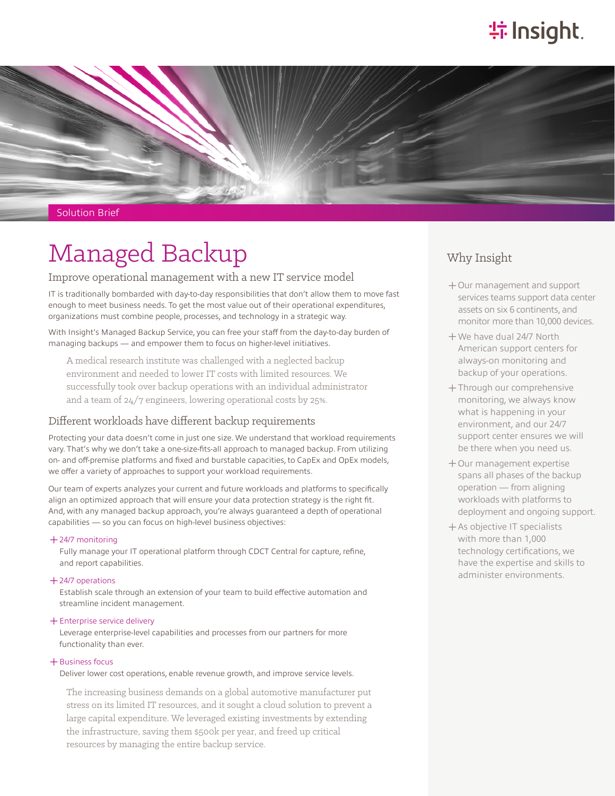# **特Insight**



Solution Brief

# Managed Backup

## Improve operational management with a new IT service model

IT is traditionally bombarded with day-to-day responsibilities that don't allow them to move fast enough to meet business needs. To get the most value out of their operational expenditures, organizations must combine people, processes, and technology in a strategic way.

With Insight's Managed Backup Service, you can free your staff from the day-to-day burden of managing backups — and empower them to focus on higher-level initiatives.

A medical research institute was challenged with a neglected backup environment and needed to lower IT costs with limited resources. We successfully took over backup operations with an individual administrator and a team of 24/7 engineers, lowering operational costs by 25%.

## Different workloads have different backup requirements

Protecting your data doesn't come in just one size. We understand that workload requirements vary. That's why we don't take a one-size-fits-all approach to managed backup. From utilizing on- and off-premise platforms and fixed and burstable capacities, to CapEx and OpEx models, we offer a variety of approaches to support your workload requirements.

Our team of experts analyzes your current and future workloads and platforms to specifically align an optimized approach that will ensure your data protection strategy is the right fit. And, with any managed backup approach, you're always guaranteed a depth of operational capabilities — so you can focus on high-level business objectives:

#### ͓24/7 monitoring

Fully manage your IT operational platform through CDCT Central for capture, refine, and report capabilities.

### ͓24/7 operations

Establish scale through an extension of your team to build effective automation and streamline incident management.

#### ͓Enterprise service delivery

Leverage enterprise-level capabilities and processes from our partners for more functionality than ever.

#### $+$  Business focus

Deliver lower cost operations, enable revenue growth, and improve service levels.

The increasing business demands on a global automotive manufacturer put stress on its limited IT resources, and it sought a cloud solution to prevent a large capital expenditure. We leveraged existing investments by extending the infrastructure, saving them \$500k per year, and freed up critical resources by managing the entire backup service.

# Why Insight

- ͓Our management and support services teams support data center assets on six 6 continents, and monitor more than 10,000 devices.
- ͓We have dual 24/7 North American support centers for always-on monitoring and backup of your operations.
- ͓Through our comprehensive monitoring, we always know what is happening in your environment, and our 24/7 support center ensures we will be there when you need us.
- ͓Our management expertise spans all phases of the backup operation — from aligning workloads with platforms to deployment and ongoing support.
- ͓As objective IT specialists with more than 1,000 technology certifications, we have the expertise and skills to administer environments.